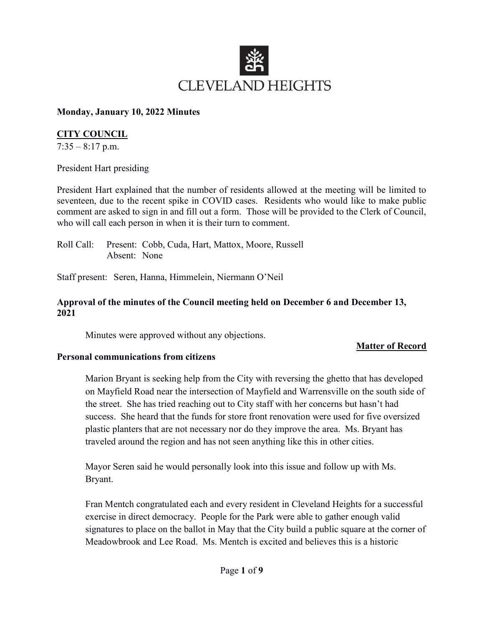

#### Monday, January 10, 2022 Minutes

### CITY COUNCIL

 $7:35 - 8:17$  p.m.

President Hart presiding

President Hart explained that the number of residents allowed at the meeting will be limited to seventeen, due to the recent spike in COVID cases. Residents who would like to make public comment are asked to sign in and fill out a form. Those will be provided to the Clerk of Council, who will call each person in when it is their turn to comment.

Roll Call: Present: Cobb, Cuda, Hart, Mattox, Moore, Russell Absent: None

Staff present: Seren, Hanna, Himmelein, Niermann O'Neil

### Approval of the minutes of the Council meeting held on December 6 and December 13, 2021

Minutes were approved without any objections.

# Matter of Record

#### Personal communications from citizens

Marion Bryant is seeking help from the City with reversing the ghetto that has developed on Mayfield Road near the intersection of Mayfield and Warrensville on the south side of the street. She has tried reaching out to City staff with her concerns but hasn't had success. She heard that the funds for store front renovation were used for five oversized plastic planters that are not necessary nor do they improve the area. Ms. Bryant has traveled around the region and has not seen anything like this in other cities.

Mayor Seren said he would personally look into this issue and follow up with Ms. Bryant.

Fran Mentch congratulated each and every resident in Cleveland Heights for a successful exercise in direct democracy. People for the Park were able to gather enough valid signatures to place on the ballot in May that the City build a public square at the corner of Meadowbrook and Lee Road. Ms. Mentch is excited and believes this is a historic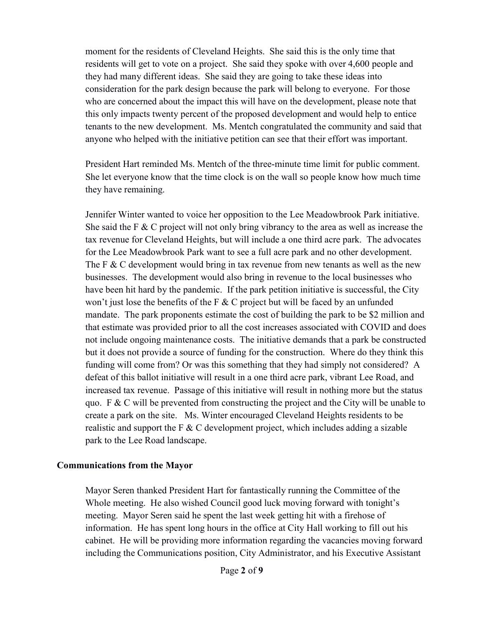moment for the residents of Cleveland Heights. She said this is the only time that residents will get to vote on a project. She said they spoke with over 4,600 people and they had many different ideas. She said they are going to take these ideas into consideration for the park design because the park will belong to everyone. For those who are concerned about the impact this will have on the development, please note that this only impacts twenty percent of the proposed development and would help to entice tenants to the new development. Ms. Mentch congratulated the community and said that anyone who helped with the initiative petition can see that their effort was important.

President Hart reminded Ms. Mentch of the three-minute time limit for public comment. She let everyone know that the time clock is on the wall so people know how much time they have remaining.

Jennifer Winter wanted to voice her opposition to the Lee Meadowbrook Park initiative. She said the F & C project will not only bring vibrancy to the area as well as increase the tax revenue for Cleveland Heights, but will include a one third acre park. The advocates for the Lee Meadowbrook Park want to see a full acre park and no other development. The F & C development would bring in tax revenue from new tenants as well as the new businesses. The development would also bring in revenue to the local businesses who have been hit hard by the pandemic. If the park petition initiative is successful, the City won't just lose the benefits of the F  $&$  C project but will be faced by an unfunded mandate. The park proponents estimate the cost of building the park to be \$2 million and that estimate was provided prior to all the cost increases associated with COVID and does not include ongoing maintenance costs. The initiative demands that a park be constructed but it does not provide a source of funding for the construction. Where do they think this funding will come from? Or was this something that they had simply not considered? A defeat of this ballot initiative will result in a one third acre park, vibrant Lee Road, and increased tax revenue. Passage of this initiative will result in nothing more but the status quo. F  $\&$  C will be prevented from constructing the project and the City will be unable to create a park on the site. Ms. Winter encouraged Cleveland Heights residents to be realistic and support the F  $&$  C development project, which includes adding a sizable park to the Lee Road landscape.

### Communications from the Mayor

Mayor Seren thanked President Hart for fantastically running the Committee of the Whole meeting. He also wished Council good luck moving forward with tonight's meeting. Mayor Seren said he spent the last week getting hit with a firehose of information. He has spent long hours in the office at City Hall working to fill out his cabinet. He will be providing more information regarding the vacancies moving forward including the Communications position, City Administrator, and his Executive Assistant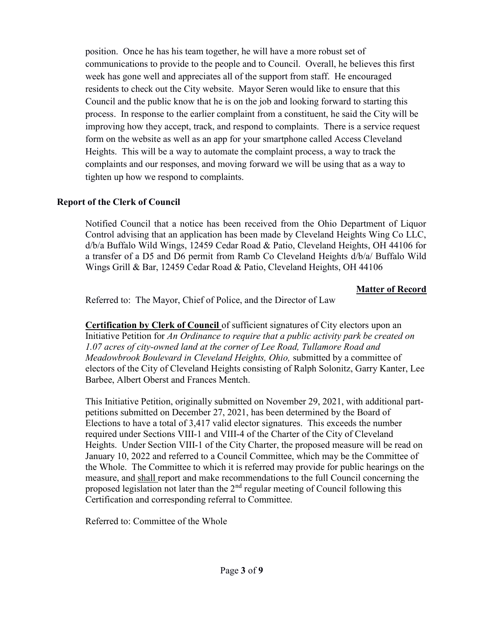position. Once he has his team together, he will have a more robust set of communications to provide to the people and to Council. Overall, he believes this first week has gone well and appreciates all of the support from staff. He encouraged residents to check out the City website. Mayor Seren would like to ensure that this Council and the public know that he is on the job and looking forward to starting this process. In response to the earlier complaint from a constituent, he said the City will be improving how they accept, track, and respond to complaints. There is a service request form on the website as well as an app for your smartphone called Access Cleveland Heights. This will be a way to automate the complaint process, a way to track the complaints and our responses, and moving forward we will be using that as a way to tighten up how we respond to complaints.

### Report of the Clerk of Council

Notified Council that a notice has been received from the Ohio Department of Liquor Control advising that an application has been made by Cleveland Heights Wing Co LLC, d/b/a Buffalo Wild Wings, 12459 Cedar Road & Patio, Cleveland Heights, OH 44106 for a transfer of a D5 and D6 permit from Ramb Co Cleveland Heights d/b/a/ Buffalo Wild Wings Grill & Bar, 12459 Cedar Road & Patio, Cleveland Heights, OH 44106

### Matter of Record

Referred to: The Mayor, Chief of Police, and the Director of Law

**Certification by Clerk of Council** of sufficient signatures of City electors upon an Initiative Petition for An Ordinance to require that a public activity park be created on 1.07 acres of city-owned land at the corner of Lee Road, Tullamore Road and Meadowbrook Boulevard in Cleveland Heights, Ohio, submitted by a committee of electors of the City of Cleveland Heights consisting of Ralph Solonitz, Garry Kanter, Lee Barbee, Albert Oberst and Frances Mentch.

This Initiative Petition, originally submitted on November 29, 2021, with additional partpetitions submitted on December 27, 2021, has been determined by the Board of Elections to have a total of 3,417 valid elector signatures. This exceeds the number required under Sections VIII-1 and VIII-4 of the Charter of the City of Cleveland Heights. Under Section VIII-1 of the City Charter, the proposed measure will be read on January 10, 2022 and referred to a Council Committee, which may be the Committee of the Whole. The Committee to which it is referred may provide for public hearings on the measure, and shall report and make recommendations to the full Council concerning the proposed legislation not later than the  $2<sup>nd</sup>$  regular meeting of Council following this Certification and corresponding referral to Committee.

Referred to: Committee of the Whole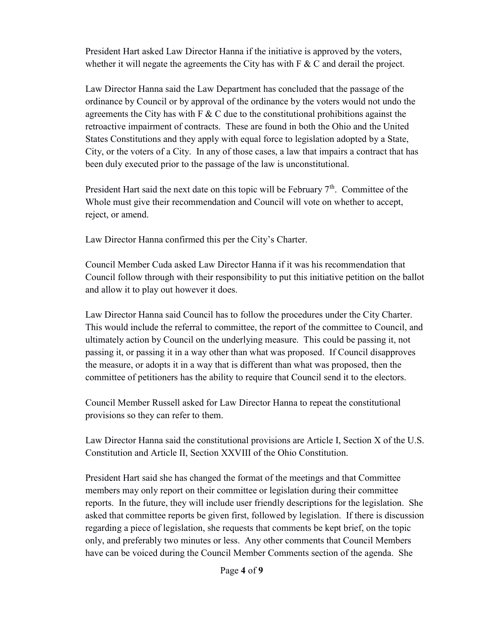President Hart asked Law Director Hanna if the initiative is approved by the voters, whether it will negate the agreements the City has with  $F \& C$  and derail the project.

Law Director Hanna said the Law Department has concluded that the passage of the ordinance by Council or by approval of the ordinance by the voters would not undo the agreements the City has with  $F \& C$  due to the constitutional prohibitions against the retroactive impairment of contracts. These are found in both the Ohio and the United States Constitutions and they apply with equal force to legislation adopted by a State, City, or the voters of a City. In any of those cases, a law that impairs a contract that has been duly executed prior to the passage of the law is unconstitutional.

President Hart said the next date on this topic will be February  $7<sup>th</sup>$ . Committee of the Whole must give their recommendation and Council will vote on whether to accept, reject, or amend.

Law Director Hanna confirmed this per the City's Charter.

Council Member Cuda asked Law Director Hanna if it was his recommendation that Council follow through with their responsibility to put this initiative petition on the ballot and allow it to play out however it does.

Law Director Hanna said Council has to follow the procedures under the City Charter. This would include the referral to committee, the report of the committee to Council, and ultimately action by Council on the underlying measure. This could be passing it, not passing it, or passing it in a way other than what was proposed. If Council disapproves the measure, or adopts it in a way that is different than what was proposed, then the committee of petitioners has the ability to require that Council send it to the electors.

Council Member Russell asked for Law Director Hanna to repeat the constitutional provisions so they can refer to them.

Law Director Hanna said the constitutional provisions are Article I, Section X of the U.S. Constitution and Article II, Section XXVIII of the Ohio Constitution.

President Hart said she has changed the format of the meetings and that Committee members may only report on their committee or legislation during their committee reports. In the future, they will include user friendly descriptions for the legislation. She asked that committee reports be given first, followed by legislation. If there is discussion regarding a piece of legislation, she requests that comments be kept brief, on the topic only, and preferably two minutes or less. Any other comments that Council Members have can be voiced during the Council Member Comments section of the agenda. She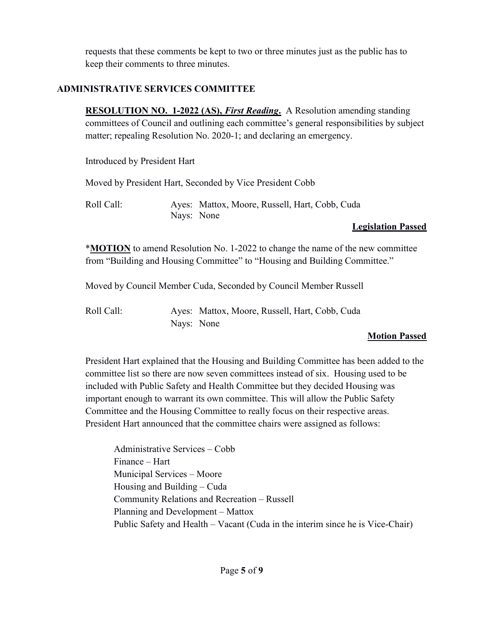requests that these comments be kept to two or three minutes just as the public has to keep their comments to three minutes.

# ADMINISTRATIVE SERVICES COMMITTEE

**RESOLUTION NO. 1-2022 (AS), First Reading.** A Resolution amending standing committees of Council and outlining each committee's general responsibilities by subject matter; repealing Resolution No. 2020-1; and declaring an emergency.

Introduced by President Hart

Moved by President Hart, Seconded by Vice President Cobb

Roll Call: Ayes: Mattox, Moore, Russell, Hart, Cobb, Cuda Nays: None

# Legislation Passed

\*MOTION to amend Resolution No. 1-2022 to change the name of the new committee from "Building and Housing Committee" to "Housing and Building Committee."

Moved by Council Member Cuda, Seconded by Council Member Russell

Roll Call: Ayes: Mattox, Moore, Russell, Hart, Cobb, Cuda Nays: None

# Motion Passed

President Hart explained that the Housing and Building Committee has been added to the committee list so there are now seven committees instead of six. Housing used to be included with Public Safety and Health Committee but they decided Housing was important enough to warrant its own committee. This will allow the Public Safety Committee and the Housing Committee to really focus on their respective areas. President Hart announced that the committee chairs were assigned as follows:

 Administrative Services – Cobb Finance – Hart Municipal Services – Moore Housing and Building – Cuda Community Relations and Recreation – Russell Planning and Development – Mattox Public Safety and Health – Vacant (Cuda in the interim since he is Vice-Chair)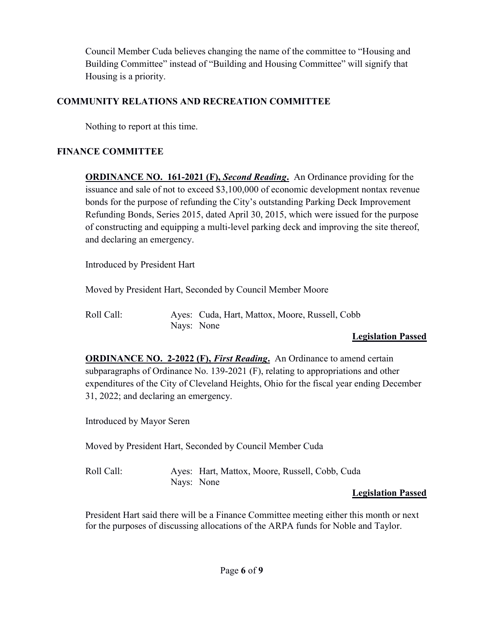Council Member Cuda believes changing the name of the committee to "Housing and Building Committee" instead of "Building and Housing Committee" will signify that Housing is a priority.

# COMMUNITY RELATIONS AND RECREATION COMMITTEE

Nothing to report at this time.

# FINANCE COMMITTEE

**ORDINANCE NO. 161-2021 (F), Second Reading.** An Ordinance providing for the issuance and sale of not to exceed \$3,100,000 of economic development nontax revenue bonds for the purpose of refunding the City's outstanding Parking Deck Improvement Refunding Bonds, Series 2015, dated April 30, 2015, which were issued for the purpose of constructing and equipping a multi-level parking deck and improving the site thereof, and declaring an emergency.

Introduced by President Hart

Moved by President Hart, Seconded by Council Member Moore

| Roll Call: |            | Ayes: Cuda, Hart, Mattox, Moore, Russell, Cobb |
|------------|------------|------------------------------------------------|
|            | Nays: None |                                                |

# Legislation Passed

**ORDINANCE NO. 2-2022 (F), First Reading.** An Ordinance to amend certain subparagraphs of Ordinance No. 139-2021 (F), relating to appropriations and other expenditures of the City of Cleveland Heights, Ohio for the fiscal year ending December 31, 2022; and declaring an emergency.

Introduced by Mayor Seren

Moved by President Hart, Seconded by Council Member Cuda

Roll Call: Ayes: Hart, Mattox, Moore, Russell, Cobb, Cuda Nays: None

# Legislation Passed

President Hart said there will be a Finance Committee meeting either this month or next for the purposes of discussing allocations of the ARPA funds for Noble and Taylor.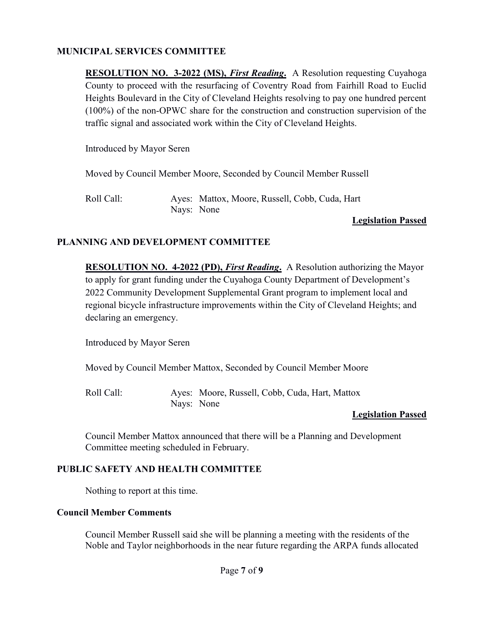### MUNICIPAL SERVICES COMMITTEE

**RESOLUTION NO. 3-2022 (MS), First Reading.** A Resolution requesting Cuyahoga County to proceed with the resurfacing of Coventry Road from Fairhill Road to Euclid Heights Boulevard in the City of Cleveland Heights resolving to pay one hundred percent (100%) of the non-OPWC share for the construction and construction supervision of the traffic signal and associated work within the City of Cleveland Heights.

Introduced by Mayor Seren

Moved by Council Member Moore, Seconded by Council Member Russell

Roll Call: Ayes: Mattox, Moore, Russell, Cobb, Cuda, Hart Nays: None

#### Legislation Passed

### PLANNING AND DEVELOPMENT COMMITTEE

**RESOLUTION NO. 4-2022 (PD), First Reading.** A Resolution authorizing the Mayor to apply for grant funding under the Cuyahoga County Department of Development's 2022 Community Development Supplemental Grant program to implement local and regional bicycle infrastructure improvements within the City of Cleveland Heights; and declaring an emergency.

Introduced by Mayor Seren

Moved by Council Member Mattox, Seconded by Council Member Moore

Roll Call: Ayes: Moore, Russell, Cobb, Cuda, Hart, Mattox Nays: None

### Legislation Passed

Council Member Mattox announced that there will be a Planning and Development Committee meeting scheduled in February.

### PUBLIC SAFETY AND HEALTH COMMITTEE

Nothing to report at this time.

#### Council Member Comments

Council Member Russell said she will be planning a meeting with the residents of the Noble and Taylor neighborhoods in the near future regarding the ARPA funds allocated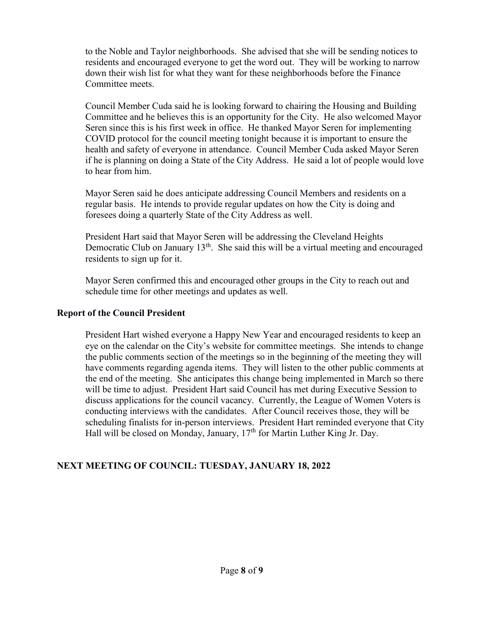to the Noble and Taylor neighborhoods. She advised that she will be sending notices to residents and encouraged everyone to get the word out. They will be working to narrow down their wish list for what they want for these neighborhoods before the Finance Committee meets.

Council Member Cuda said he is looking forward to chairing the Housing and Building Committee and he believes this is an opportunity for the City. He also welcomed Mayor Seren since this is his first week in office. He thanked Mayor Seren for implementing COVID protocol for the council meeting tonight because it is important to ensure the health and safety of everyone in attendance. Council Member Cuda asked Mayor Seren if he is planning on doing a State of the City Address. He said a lot of people would love to hear from him.

Mayor Seren said he does anticipate addressing Council Members and residents on a regular basis. He intends to provide regular updates on how the City is doing and foresees doing a quarterly State of the City Address as well.

President Hart said that Mayor Seren will be addressing the Cleveland Heights Democratic Club on January  $13<sup>th</sup>$ . She said this will be a virtual meeting and encouraged residents to sign up for it.

Mayor Seren confirmed this and encouraged other groups in the City to reach out and schedule time for other meetings and updates as well.

### Report of the Council President

President Hart wished everyone a Happy New Year and encouraged residents to keep an eye on the calendar on the City's website for committee meetings. She intends to change the public comments section of the meetings so in the beginning of the meeting they will have comments regarding agenda items. They will listen to the other public comments at the end of the meeting. She anticipates this change being implemented in March so there will be time to adjust. President Hart said Council has met during Executive Session to discuss applications for the council vacancy. Currently, the League of Women Voters is conducting interviews with the candidates. After Council receives those, they will be scheduling finalists for in-person interviews. President Hart reminded everyone that City Hall will be closed on Monday, January, 17<sup>th</sup> for Martin Luther King Jr. Day.

### NEXT MEETING OF COUNCIL: TUESDAY, JANUARY 18, 2022